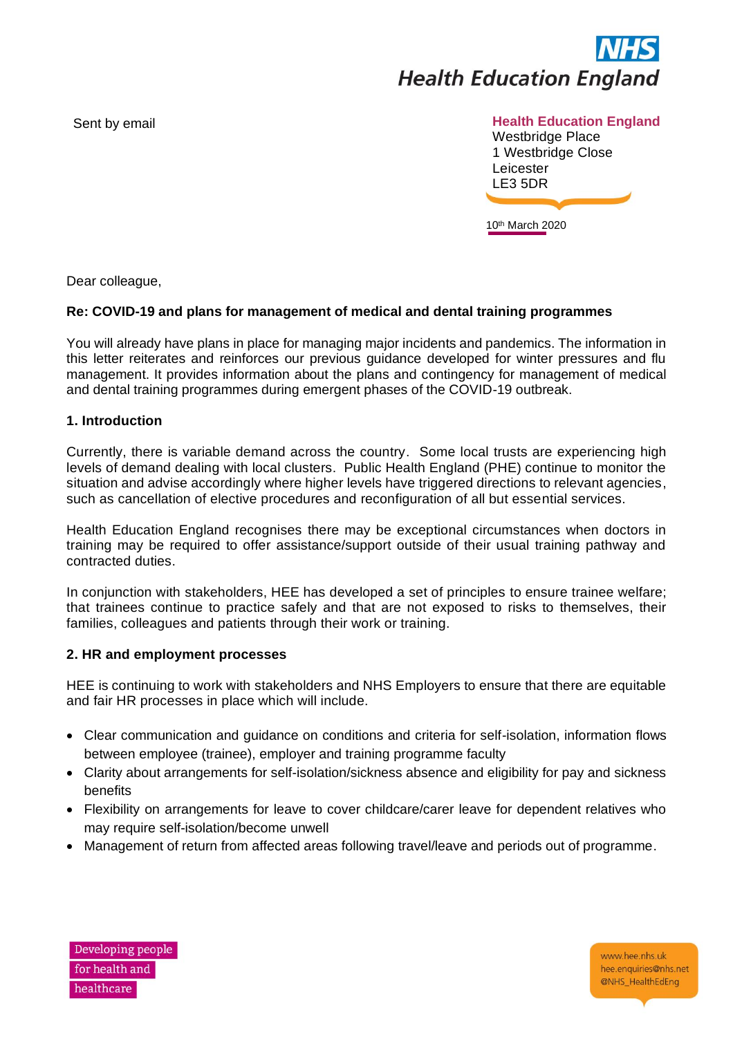

# **Sent by email Sent by email and sensuit example of the sensuit example of the Health Education England**

Westbridge Place 1 Westbridge Close Leicester LE3 5DR

10th March 2020

Dear colleague,

# **Re: COVID-19 and plans for management of medical and dental training programmes**

You will already have plans in place for managing major incidents and pandemics. The information in this letter reiterates and reinforces our previous guidance developed for winter pressures and flu management. It provides information about the plans and contingency for management of medical and dental training programmes during emergent phases of the COVID-19 outbreak.

## **1. Introduction**

Currently, there is variable demand across the country. Some local trusts are experiencing high levels of demand dealing with local clusters. Public Health England (PHE) continue to monitor the situation and advise accordingly where higher levels have triggered directions to relevant agencies, such as cancellation of elective procedures and reconfiguration of all but essential services.

Health Education England recognises there may be exceptional circumstances when doctors in training may be required to offer assistance/support outside of their usual training pathway and contracted duties.

In conjunction with stakeholders, HEE has developed a set of principles to ensure trainee welfare; that trainees continue to practice safely and that are not exposed to risks to themselves, their families, colleagues and patients through their work or training.

## **2. HR and employment processes**

HEE is continuing to work with stakeholders and NHS Employers to ensure that there are equitable and fair HR processes in place which will include.

- Clear communication and guidance on conditions and criteria for self-isolation, information flows between employee (trainee), employer and training programme faculty
- Clarity about arrangements for self-isolation/sickness absence and eligibility for pay and sickness benefits
- Flexibility on arrangements for leave to cover childcare/carer leave for dependent relatives who may require self-isolation/become unwell
- Management of return from affected areas following travel/leave and periods out of programme.



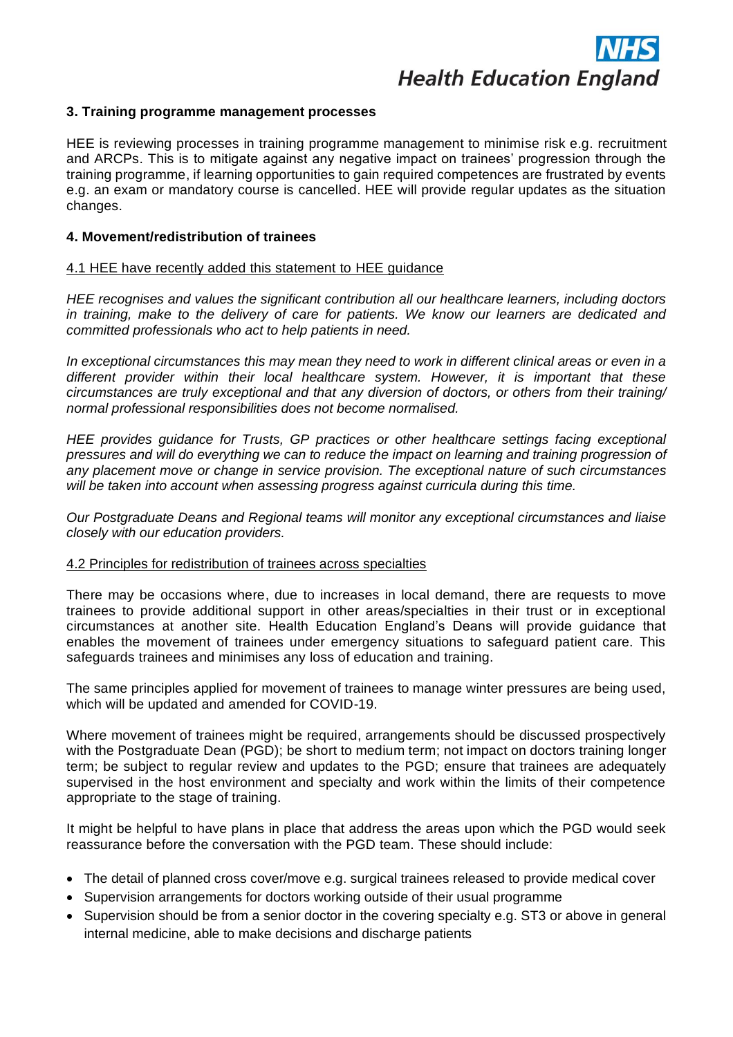

## **3. Training programme management processes**

HEE is reviewing processes in training programme management to minimise risk e.g. recruitment and ARCPs. This is to mitigate against any negative impact on trainees' progression through the training programme, if learning opportunities to gain required competences are frustrated by events e.g. an exam or mandatory course is cancelled. HEE will provide regular updates as the situation changes.

## **4. Movement/redistribution of trainees**

## 4.1 HEE have recently added this statement to HEE guidance

*HEE recognises and values the significant contribution all our healthcare learners, including doctors in training, make to the delivery of care for patients. We know our learners are dedicated and committed professionals who act to help patients in need.* 

*In exceptional circumstances this may mean they need to work in different clinical areas or even in a different provider within their local healthcare system. However, it is important that these circumstances are truly exceptional and that any diversion of doctors, or others from their training/ normal professional responsibilities does not become normalised.*

*HEE provides guidance for Trusts, GP practices or other healthcare settings facing exceptional pressures and will do everything we can to reduce the impact on learning and training progression of any placement move or change in service provision. The exceptional nature of such circumstances will be taken into account when assessing progress against curricula during this time.* 

*Our Postgraduate Deans and Regional teams will monitor any exceptional circumstances and liaise closely with our education providers.* 

## 4.2 Principles for redistribution of trainees across specialties

There may be occasions where, due to increases in local demand, there are requests to move trainees to provide additional support in other areas/specialties in their trust or in exceptional circumstances at another site. Health Education England's Deans will provide guidance that enables the movement of trainees under emergency situations to safeguard patient care. This safeguards trainees and minimises any loss of education and training.

The same principles applied for movement of trainees to manage winter pressures are being used, which will be updated and amended for COVID-19.

Where movement of trainees might be required, arrangements should be discussed prospectively with the Postgraduate Dean (PGD); be short to medium term; not impact on doctors training longer term; be subject to regular review and updates to the PGD; ensure that trainees are adequately supervised in the host environment and specialty and work within the limits of their competence appropriate to the stage of training.

It might be helpful to have plans in place that address the areas upon which the PGD would seek reassurance before the conversation with the PGD team. These should include:

- The detail of planned cross cover/move e.g. surgical trainees released to provide medical cover
- Supervision arrangements for doctors working outside of their usual programme
- Supervision should be from a senior doctor in the covering specialty e.g. ST3 or above in general internal medicine, able to make decisions and discharge patients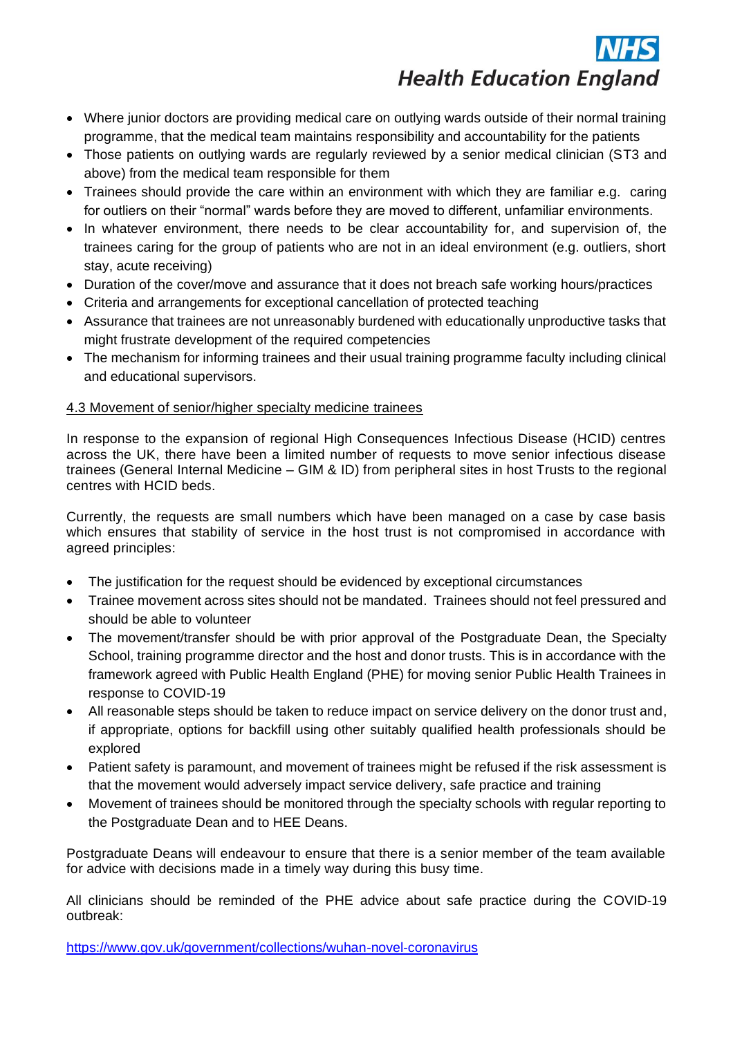

- Where junior doctors are providing medical care on outlying wards outside of their normal training programme, that the medical team maintains responsibility and accountability for the patients
- Those patients on outlying wards are regularly reviewed by a senior medical clinician (ST3 and above) from the medical team responsible for them
- Trainees should provide the care within an environment with which they are familiar e.g. caring for outliers on their "normal" wards before they are moved to different, unfamiliar environments.
- In whatever environment, there needs to be clear accountability for, and supervision of, the trainees caring for the group of patients who are not in an ideal environment (e.g. outliers, short stay, acute receiving)
- Duration of the cover/move and assurance that it does not breach safe working hours/practices
- Criteria and arrangements for exceptional cancellation of protected teaching
- Assurance that trainees are not unreasonably burdened with educationally unproductive tasks that might frustrate development of the required competencies
- The mechanism for informing trainees and their usual training programme faculty including clinical and educational supervisors.

# 4.3 Movement of senior/higher specialty medicine trainees

In response to the expansion of regional High Consequences Infectious Disease (HCID) centres across the UK, there have been a limited number of requests to move senior infectious disease trainees (General Internal Medicine – GIM & ID) from peripheral sites in host Trusts to the regional centres with HCID beds.

Currently, the requests are small numbers which have been managed on a case by case basis which ensures that stability of service in the host trust is not compromised in accordance with agreed principles:

- The justification for the request should be evidenced by exceptional circumstances
- Trainee movement across sites should not be mandated. Trainees should not feel pressured and should be able to volunteer
- The movement/transfer should be with prior approval of the Postgraduate Dean, the Specialty School, training programme director and the host and donor trusts. This is in accordance with the framework agreed with Public Health England (PHE) for moving senior Public Health Trainees in response to COVID-19
- All reasonable steps should be taken to reduce impact on service delivery on the donor trust and, if appropriate, options for backfill using other suitably qualified health professionals should be explored
- Patient safety is paramount, and movement of trainees might be refused if the risk assessment is that the movement would adversely impact service delivery, safe practice and training
- Movement of trainees should be monitored through the specialty schools with regular reporting to the Postgraduate Dean and to HEE Deans.

Postgraduate Deans will endeavour to ensure that there is a senior member of the team available for advice with decisions made in a timely way during this busy time.

All clinicians should be reminded of the PHE advice about safe practice during the COVID-19 outbreak:

<https://www.gov.uk/government/collections/wuhan-novel-coronavirus>